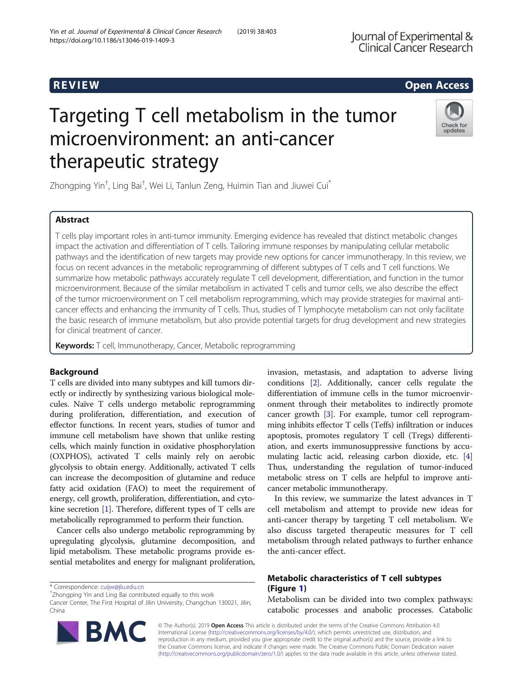# R EVI EW Open Access

# Targeting T cell metabolism in the tumor microenvironment: an anti-cancer therapeutic strategy



Zhongping Yin<sup>†</sup>, Ling Bai<sup>†</sup>, Wei Li, Tanlun Zeng, Huimin Tian and Jiuwei Cui<sup>\*</sup>

# Abstract

T cells play important roles in anti-tumor immunity. Emerging evidence has revealed that distinct metabolic changes impact the activation and differentiation of T cells. Tailoring immune responses by manipulating cellular metabolic pathways and the identification of new targets may provide new options for cancer immunotherapy. In this review, we focus on recent advances in the metabolic reprogramming of different subtypes of T cells and T cell functions. We summarize how metabolic pathways accurately regulate T cell development, differentiation, and function in the tumor microenvironment. Because of the similar metabolism in activated T cells and tumor cells, we also describe the effect of the tumor microenvironment on T cell metabolism reprogramming, which may provide strategies for maximal anticancer effects and enhancing the immunity of T cells. Thus, studies of T lymphocyte metabolism can not only facilitate the basic research of immune metabolism, but also provide potential targets for drug development and new strategies for clinical treatment of cancer.

Keywords: T cell, Immunotherapy, Cancer, Metabolic reprogramming

# Background

T cells are divided into many subtypes and kill tumors directly or indirectly by synthesizing various biological molecules. Naïve T cells undergo metabolic reprogramming during proliferation, differentiation, and execution of effector functions. In recent years, studies of tumor and immune cell metabolism have shown that unlike resting cells, which mainly function in oxidative phosphorylation (OXPHOS), activated T cells mainly rely on aerobic glycolysis to obtain energy. Additionally, activated T cells can increase the decomposition of glutamine and reduce fatty acid oxidation (FAO) to meet the requirement of energy, cell growth, proliferation, differentiation, and cytokine secretion  $[1]$ . Therefore, different types of T cells are metabolically reprogrammed to perform their function.

Cancer cells also undergo metabolic reprogramming by upregulating glycolysis, glutamine decomposition, and lipid metabolism. These metabolic programs provide essential metabolites and energy for malignant proliferation,



invasion, metastasis, and adaptation to adverse living

In this review, we summarize the latest advances in T cell metabolism and attempt to provide new ideas for anti-cancer therapy by targeting T cell metabolism. We also discuss targeted therapeutic measures for T cell metabolism through related pathways to further enhance the anti-cancer effect.

# Metabolic characteristics of T cell subtypes (Figure [1](#page-1-0))

Metabolism can be divided into two complex pathways: catabolic processes and anabolic processes. Catabolic

© The Author(s). 2019 Open Access This article is distributed under the terms of the Creative Commons Attribution 4.0 International License [\(http://creativecommons.org/licenses/by/4.0/](http://creativecommons.org/licenses/by/4.0/)), which permits unrestricted use, distribution, and reproduction in any medium, provided you give appropriate credit to the original author(s) and the source, provide a link to the Creative Commons license, and indicate if changes were made. The Creative Commons Public Domain Dedication waiver [\(http://creativecommons.org/publicdomain/zero/1.0/](http://creativecommons.org/publicdomain/zero/1.0/)) applies to the data made available in this article, unless otherwise stated.



<sup>\*</sup> Correspondence: [cuijw@jlu.edu.cn](mailto:cuijw@jlu.edu.cn) †

Zhongping Yin and Ling Bai contributed equally to this work

Cancer Center, The First Hospital of Jilin University, Changchun 130021, Jilin, China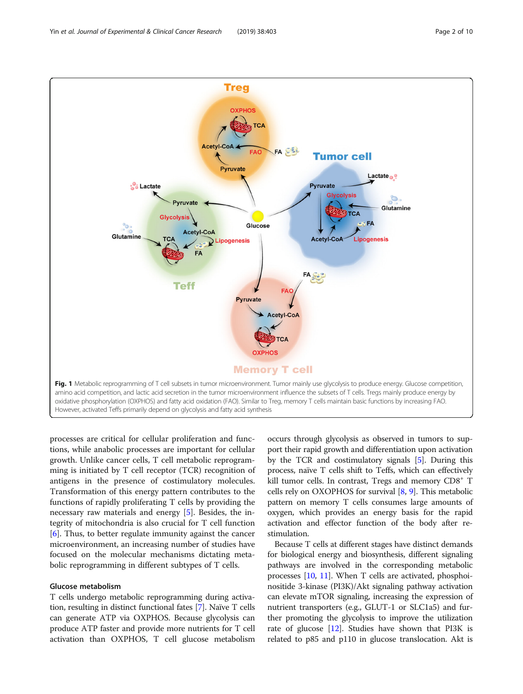<span id="page-1-0"></span>

processes are critical for cellular proliferation and functions, while anabolic processes are important for cellular growth. Unlike cancer cells, T cell metabolic reprogramming is initiated by T cell receptor (TCR) recognition of antigens in the presence of costimulatory molecules. Transformation of this energy pattern contributes to the functions of rapidly proliferating T cells by providing the necessary raw materials and energy [\[5\]](#page-8-0). Besides, the integrity of mitochondria is also crucial for T cell function [[6\]](#page-8-0). Thus, to better regulate immunity against the cancer microenvironment, an increasing number of studies have focused on the molecular mechanisms dictating metabolic reprogramming in different subtypes of T cells.

#### Glucose metabolism

T cells undergo metabolic reprogramming during activation, resulting in distinct functional fates [\[7](#page-8-0)]. Naïve T cells can generate ATP via OXPHOS. Because glycolysis can produce ATP faster and provide more nutrients for T cell activation than OXPHOS, T cell glucose metabolism occurs through glycolysis as observed in tumors to support their rapid growth and differentiation upon activation by the TCR and costimulatory signals [\[5](#page-8-0)]. During this process, naïve T cells shift to Teffs, which can effectively kill tumor cells. In contrast, Tregs and memory CD8<sup>+</sup> T cells rely on OXOPHOS for survival [\[8](#page-8-0), [9\]](#page-8-0). This metabolic pattern on memory T cells consumes large amounts of oxygen, which provides an energy basis for the rapid activation and effector function of the body after restimulation.

Because T cells at different stages have distinct demands for biological energy and biosynthesis, different signaling pathways are involved in the corresponding metabolic processes [\[10,](#page-8-0) [11\]](#page-8-0). When T cells are activated, phosphoinositide 3-kinase (PI3K)/Akt signaling pathway activation can elevate mTOR signaling, increasing the expression of nutrient transporters (e.g., GLUT-1 or SLC1a5) and further promoting the glycolysis to improve the utilization rate of glucose  $[12]$  $[12]$  $[12]$ . Studies have shown that PI3K is related to p85 and p110 in glucose translocation. Akt is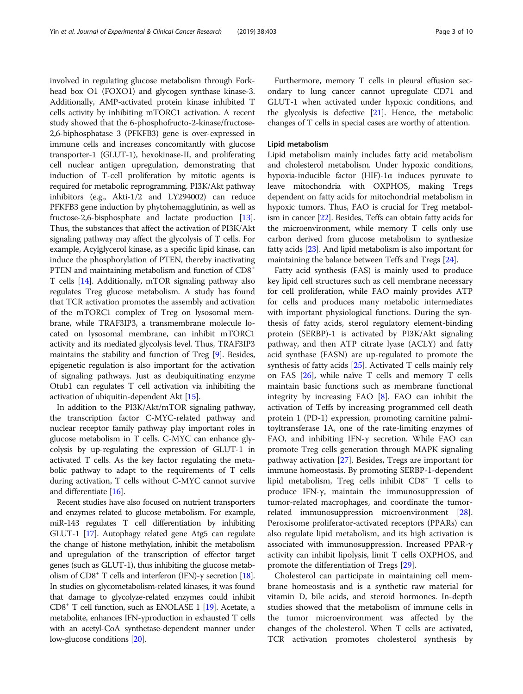involved in regulating glucose metabolism through Forkhead box O1 (FOXO1) and glycogen synthase kinase-3. Additionally, AMP-activated protein kinase inhibited T cells activity by inhibiting mTORC1 activation. A recent study showed that the 6-phosphofructo-2-kinase/fructose-2,6-biphosphatase 3 (PFKFB3) gene is over-expressed in immune cells and increases concomitantly with glucose transporter-1 (GLUT-1), hexokinase-II, and proliferating cell nuclear antigen upregulation, demonstrating that induction of T-cell proliferation by mitotic agents is required for metabolic reprogramming. PI3K/Akt pathway inhibitors (e.g., Akti-1/2 and LY294002) can reduce PFKFB3 gene induction by phytohemagglutinin, as well as fructose-2,6-bisphosphate and lactate production [[13](#page-8-0)]. Thus, the substances that affect the activation of PI3K/Akt signaling pathway may affect the glycolysis of T cells. For example, Acylglycerol kinase, as a specific lipid kinase, can induce the phosphorylation of PTEN, thereby inactivating PTEN and maintaining metabolism and function of CD8<sup>+</sup> T cells [[14](#page-8-0)]. Additionally, mTOR signaling pathway also regulates Treg glucose metabolism. A study has found that TCR activation promotes the assembly and activation of the mTORC1 complex of Treg on lysosomal membrane, while TRAF3IP3, a transmembrane molecule located on lysosomal membrane, can inhibit mTORC1 activity and its mediated glycolysis level. Thus, TRAF3IP3 maintains the stability and function of Treg [\[9\]](#page-8-0). Besides, epigenetic regulation is also important for the activation of signaling pathways. Just as deubiquitinating enzyme Otub1 can regulates T cell activation via inhibiting the activation of ubiquitin-dependent Akt [[15](#page-8-0)].

In addition to the PI3K/Akt/mTOR signaling pathway, the transcription factor C-MYC-related pathway and nuclear receptor family pathway play important roles in glucose metabolism in T cells. C-MYC can enhance glycolysis by up-regulating the expression of GLUT-1 in activated T cells. As the key factor regulating the metabolic pathway to adapt to the requirements of T cells during activation, T cells without C-MYC cannot survive and differentiate [[16](#page-8-0)].

Recent studies have also focused on nutrient transporters and enzymes related to glucose metabolism. For example, miR-143 regulates T cell differentiation by inhibiting GLUT-1 [\[17](#page-8-0)]. Autophagy related gene Atg5 can regulate the change of histone methylation, inhibit the metabolism and upregulation of the transcription of effector target genes (such as GLUT-1), thus inhibiting the glucose metab-olism of CD8<sup>+</sup> T cells and interferon (IFN)-γ secretion [\[18](#page-8-0)]. In studies on glycometabolism-related kinases, it was found that damage to glycolyze-related enzymes could inhibit  $CD8<sup>+</sup>$  T cell function, such as ENOLASE 1 [\[19](#page-8-0)]. Acetate, a metabolite, enhances IFN-γproduction in exhausted T cells with an acetyl-CoA synthetase-dependent manner under low-glucose conditions [\[20\]](#page-8-0).

Furthermore, memory T cells in pleural effusion secondary to lung cancer cannot upregulate CD71 and GLUT-1 when activated under hypoxic conditions, and the glycolysis is defective [[21](#page-8-0)]. Hence, the metabolic changes of T cells in special cases are worthy of attention.

### Lipid metabolism

Lipid metabolism mainly includes fatty acid metabolism and cholesterol metabolism. Under hypoxic conditions, hypoxia-inducible factor (HIF)-1α induces pyruvate to leave mitochondria with OXPHOS, making Tregs dependent on fatty acids for mitochondrial metabolism in hypoxic tumors. Thus, FAO is crucial for Treg metabolism in cancer [\[22](#page-8-0)]. Besides, Teffs can obtain fatty acids for the microenvironment, while memory T cells only use carbon derived from glucose metabolism to synthesize fatty acids [[23](#page-8-0)]. And lipid metabolism is also important for maintaining the balance between Teffs and Tregs [\[24\]](#page-8-0).

Fatty acid synthesis (FAS) is mainly used to produce key lipid cell structures such as cell membrane necessary for cell proliferation, while FAO mainly provides ATP for cells and produces many metabolic intermediates with important physiological functions. During the synthesis of fatty acids, sterol regulatory element-binding protein (SERBP)-1 is activated by PI3K/Akt signaling pathway, and then ATP citrate lyase (ACLY) and fatty acid synthase (FASN) are up-regulated to promote the synthesis of fatty acids [[25\]](#page-8-0). Activated T cells mainly rely on FAS [[26\]](#page-8-0), while naïve T cells and memory T cells maintain basic functions such as membrane functional integrity by increasing FAO [[8\]](#page-8-0). FAO can inhibit the activation of Teffs by increasing programmed cell death protein 1 (PD-1) expression, promoting carnitine palmitoyltransferase 1A, one of the rate-limiting enzymes of FAO, and inhibiting IFN-γ secretion. While FAO can promote Treg cells generation through MAPK signaling pathway activation [[27](#page-8-0)]. Besides, Tregs are important for immune homeostasis. By promoting SERBP-1-dependent lipid metabolism, Treg cells inhibit CD8<sup>+</sup> T cells to produce IFN-γ, maintain the immunosuppression of tumor-related macrophages, and coordinate the tumorrelated immunosuppression microenvironment [\[28](#page-8-0)]. Peroxisome proliferator-activated receptors (PPARs) can also regulate lipid metabolism, and its high activation is associated with immunosuppression. Increased PPAR-γ activity can inhibit lipolysis, limit T cells OXPHOS, and promote the differentiation of Tregs [\[29](#page-8-0)].

Cholesterol can participate in maintaining cell membrane homeostasis and is a synthetic raw material for vitamin D, bile acids, and steroid hormones. In-depth studies showed that the metabolism of immune cells in the tumor microenvironment was affected by the changes of the cholesterol. When T cells are activated, TCR activation promotes cholesterol synthesis by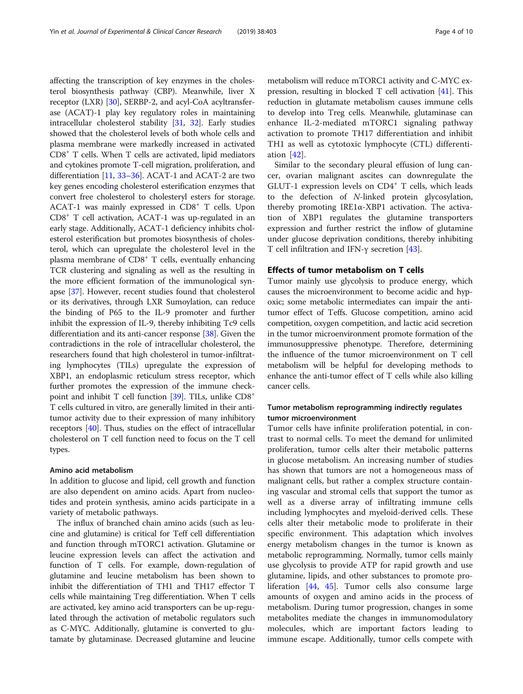affecting the transcription of key enzymes in the cholesterol biosynthesis pathway (CBP). Meanwhile, liver X receptor (LXR) [[30](#page-8-0)], SERBP-2, and acyl-CoA acyltransferase (ACAT)-1 play key regulatory roles in maintaining intracellular cholesterol stability [\[31,](#page-8-0) [32](#page-9-0)]. Early studies showed that the cholesterol levels of both whole cells and plasma membrane were markedly increased in activated CD8+ T cells. When T cells are activated, lipid mediators and cytokines promote T-cell migration, proliferation, and differentiation [\[11,](#page-8-0) [33](#page-9-0)–[36\]](#page-9-0). ACAT-1 and ACAT-2 are two key genes encoding cholesterol esterification enzymes that convert free cholesterol to cholesteryl esters for storage. ACAT-1 was mainly expressed in CD8<sup>+</sup> T cells. Upon CD8+ T cell activation, ACAT-1 was up-regulated in an early stage. Additionally, ACAT-1 deficiency inhibits cholesterol esterification but promotes biosynthesis of cholesterol, which can upregulate the cholesterol level in the plasma membrane of CD8<sup>+</sup> T cells, eventually enhancing TCR clustering and signaling as well as the resulting in the more efficient formation of the immunological synapse [[37](#page-9-0)]. However, recent studies found that cholesterol or its derivatives, through LXR Sumoylation, can reduce the binding of P65 to the IL-9 promoter and further inhibit the expression of IL-9, thereby inhibiting Tc9 cells differentiation and its anti-cancer response [[38](#page-9-0)]. Given the contradictions in the role of intracellular cholesterol, the researchers found that high cholesterol in tumor-infiltrating lymphocytes (TILs) upregulate the expression of XBP1, an endoplasmic reticulum stress receptor, which further promotes the expression of the immune check-point and inhibit T cell function [[39](#page-9-0)]. TILs, unlike CD8<sup>+</sup> T cells cultured in vitro, are generally limited in their antitumor activity due to their expression of many inhibitory receptors [\[40\]](#page-9-0). Thus, studies on the effect of intracellular cholesterol on T cell function need to focus on the T cell types.

## Amino acid metabolism

In addition to glucose and lipid, cell growth and function are also dependent on amino acids. Apart from nucleotides and protein synthesis, amino acids participate in a variety of metabolic pathways.

The influx of branched chain amino acids (such as leucine and glutamine) is critical for Teff cell differentiation and function through mTORC1 activation. Glutamine or leucine expression levels can affect the activation and function of T cells. For example, down-regulation of glutamine and leucine metabolism has been shown to inhibit the differentiation of TH1 and TH17 effector T cells while maintaining Treg differentiation. When T cells are activated, key amino acid transporters can be up-regulated through the activation of metabolic regulators such as C-MYC. Additionally, glutamine is converted to glutamate by glutaminase. Decreased glutamine and leucine

metabolism will reduce mTORC1 activity and C-MYC expression, resulting in blocked T cell activation [\[41\]](#page-9-0). This reduction in glutamate metabolism causes immune cells to develop into Treg cells. Meanwhile, glutaminase can enhance IL-2-mediated mTORC1 signaling pathway activation to promote TH17 differentiation and inhibit TH1 as well as cytotoxic lymphocyte (CTL) differentiation [[42\]](#page-9-0).

Similar to the secondary pleural effusion of lung cancer, ovarian malignant ascites can downregulate the GLUT-1 expression levels on  $CD4^+$  T cells, which leads to the defection of N-linked protein glycosylation, thereby promoting IRE1α-XBP1 activation. The activation of XBP1 regulates the glutamine transporters expression and further restrict the inflow of glutamine under glucose deprivation conditions, thereby inhibiting T cell infiltration and IFN-γ secretion [[43](#page-9-0)].

#### Effects of tumor metabolism on T cells

Tumor mainly use glycolysis to produce energy, which causes the microenvironment to become acidic and hypoxic; some metabolic intermediates can impair the antitumor effect of Teffs. Glucose competition, amino acid competition, oxygen competition, and lactic acid secretion in the tumor microenvironment promote formation of the immunosuppressive phenotype. Therefore, determining the influence of the tumor microenvironment on T cell metabolism will be helpful for developing methods to enhance the anti-tumor effect of T cells while also killing cancer cells.

# Tumor metabolism reprogramming indirectly regulates tumor microenvironment

Tumor cells have infinite proliferation potential, in contrast to normal cells. To meet the demand for unlimited proliferation, tumor cells alter their metabolic patterns in glucose metabolism. An increasing number of studies has shown that tumors are not a homogeneous mass of malignant cells, but rather a complex structure containing vascular and stromal cells that support the tumor as well as a diverse array of infiltrating immune cells including lymphocytes and myeloid-derived cells. These cells alter their metabolic mode to proliferate in their specific environment. This adaptation which involves energy metabolism changes in the tumor is known as metabolic reprogramming. Normally, tumor cells mainly use glycolysis to provide ATP for rapid growth and use glutamine, lipids, and other substances to promote proliferation [\[44](#page-9-0), [45](#page-9-0)]. Tumor cells also consume large amounts of oxygen and amino acids in the process of metabolism. During tumor progression, changes in some metabolites mediate the changes in immunomodulatory molecules, which are important factors leading to immune escape. Additionally, tumor cells compete with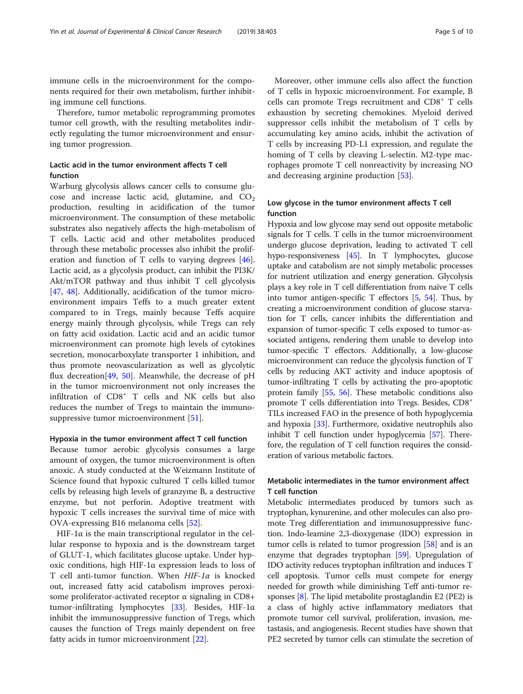immune cells in the microenvironment for the components required for their own metabolism, further inhibiting immune cell functions.

Therefore, tumor metabolic reprogramming promotes tumor cell growth, with the resulting metabolites indirectly regulating the tumor microenvironment and ensuring tumor progression.

# Lactic acid in the tumor environment affects T cell function

Warburg glycolysis allows cancer cells to consume glucose and increase lactic acid, glutamine, and  $CO<sub>2</sub>$ production, resulting in acidification of the tumor microenvironment. The consumption of these metabolic substrates also negatively affects the high-metabolism of T cells. Lactic acid and other metabolites produced through these metabolic processes also inhibit the proliferation and function of T cells to varying degrees [\[46](#page-9-0)]. Lactic acid, as a glycolysis product, can inhibit the PI3K/ Akt/mTOR pathway and thus inhibit T cell glycolysis [[47,](#page-9-0) [48\]](#page-9-0). Additionally, acidification of the tumor microenvironment impairs Teffs to a much greater extent compared to in Tregs, mainly because Teffs acquire energy mainly through glycolysis, while Tregs can rely on fatty acid oxidation. Lactic acid and an acidic tumor microenvironment can promote high levels of cytokines secretion, monocarboxylate transporter 1 inhibition, and thus promote neovascularization as well as glycolytic flux decreation[\[49](#page-9-0), [50](#page-9-0)]. Meanwhile, the decrease of pH in the tumor microenvironment not only increases the infiltration of CD8<sup>+</sup> T cells and NK cells but also reduces the number of Tregs to maintain the immuno-suppressive tumor microenvironment [[51\]](#page-9-0).

#### Hypoxia in the tumor environment affect T cell function

Because tumor aerobic glycolysis consumes a large amount of oxygen, the tumor microenvironment is often anoxic. A study conducted at the Weizmann Institute of Science found that hypoxic cultured T cells killed tumor cells by releasing high levels of granzyme B, a destructive enzyme, but not perforin. Adoptive treatment with hypoxic T cells increases the survival time of mice with OVA-expressing B16 melanoma cells [\[52](#page-9-0)].

HIF-1 $\alpha$  is the main transcriptional regulator in the cellular response to hypoxia and is the downstream target of GLUT-1, which facilitates glucose uptake. Under hypoxic conditions, high HIF-1α expression leads to loss of T cell anti-tumor function. When  $HIF-I\alpha$  is knocked out, increased fatty acid catabolism improves peroxisome proliferator-activated receptor α signaling in CD8+ tumor-infiltrating lymphocytes [\[33\]](#page-9-0). Besides, HIF-1α inhibit the immunosuppressive function of Tregs, which causes the function of Tregs mainly dependent on free fatty acids in tumor microenvironment [[22](#page-8-0)].

Moreover, other immune cells also affect the function of T cells in hypoxic microenvironment. For example, B cells can promote Tregs recruitment and CD8<sup>+</sup> T cells exhaustion by secreting chemokines. Myeloid derived suppressor cells inhibit the metabolism of T cells by accumulating key amino acids, inhibit the activation of T cells by increasing PD-L1 expression, and regulate the homing of T cells by cleaving L-selectin. M2-type macrophages promote T cell nonreactivity by increasing NO and decreasing arginine production [[53\]](#page-9-0).

# Low glycose in the tumor environment affects T cell function

Hypoxia and low glycose may send out opposite metabolic signals for T cells. T cells in the tumor microenvironment undergo glucose deprivation, leading to activated T cell hypo-responsiveness [\[45\]](#page-9-0). In T lymphocytes, glucose uptake and catabolism are not simply metabolic processes for nutrient utilization and energy generation. Glycolysis plays a key role in T cell differentiation from naïve T cells into tumor antigen-specific  $T$  effectors  $[5, 54]$  $[5, 54]$  $[5, 54]$ . Thus, by creating a microenvironment condition of glucose starvation for T cells, cancer inhibits the differentiation and expansion of tumor-specific T cells exposed to tumor-associated antigens, rendering them unable to develop into tumor-specific T effectors. Additionally, a low-glucose microenvironment can reduce the glycolysis function of T cells by reducing AKT activity and induce apoptosis of tumor-infiltrating T cells by activating the pro-apoptotic protein family [[55,](#page-9-0) [56\]](#page-9-0). These metabolic conditions also promote T cells differentiation into Tregs. Besides, CD8+ TILs increased FAO in the presence of both hypoglycemia and hypoxia [\[33](#page-9-0)]. Furthermore, oxidative neutrophils also inhibit T cell function under hypoglycemia [\[57\]](#page-9-0). Therefore, the regulation of T cell function requires the consideration of various metabolic factors.

# Metabolic intermediates in the tumor environment affect T cell function

Metabolic intermediates produced by tumors such as tryptophan, kynurenine, and other molecules can also promote Treg differentiation and immunosuppressive function. Indo-leamine 2,3-dioxygenase (IDO) expression in tumor cells is related to tumor progression [[58](#page-9-0)] and is an enzyme that degrades tryptophan [\[59\]](#page-9-0). Upregulation of IDO activity reduces tryptophan infiltration and induces T cell apoptosis. Tumor cells must compete for energy needed for growth while diminishing Teff anti-tumor responses [\[8](#page-8-0)]. The lipid metabolite prostaglandin E2 (PE2) is a class of highly active inflammatory mediators that promote tumor cell survival, proliferation, invasion, metastasis, and angiogenesis. Recent studies have shown that PE2 secreted by tumor cells can stimulate the secretion of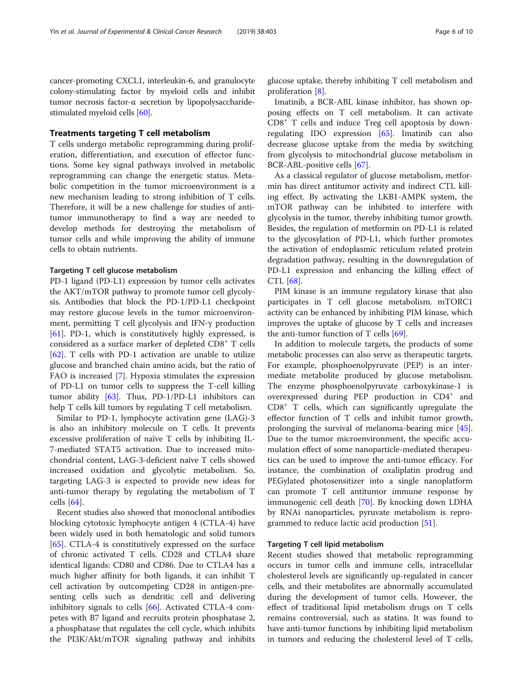cancer-promoting CXCL1, interleukin-6, and granulocyte colony-stimulating factor by myeloid cells and inhibit tumor necrosis factor-α secretion by lipopolysaccharidestimulated myeloid cells [[60](#page-9-0)].

#### Treatments targeting T cell metabolism

T cells undergo metabolic reprogramming during proliferation, differentiation, and execution of effector functions. Some key signal pathways involved in metabolic reprogramming can change the energetic status. Metabolic competition in the tumor microenvironment is a new mechanism leading to strong inhibition of T cells. Therefore, it will be a new challenge for studies of antitumor immunotherapy to find a way are needed to develop methods for destroying the metabolism of tumor cells and while improving the ability of immune cells to obtain nutrients.

#### Targeting T cell glucose metabolism

PD-1 ligand (PD-L1) expression by tumor cells activates the AKT/mTOR pathway to promote tumor cell glycolysis. Antibodies that block the PD-1/PD-L1 checkpoint may restore glucose levels in the tumor microenvironment, permitting T cell glycolysis and IFN-γ production [[61\]](#page-9-0). PD-1, which is constitutively highly expressed, is considered as a surface marker of depleted CD8<sup>+</sup> T cells [[62\]](#page-9-0). T cells with PD-1 activation are unable to utilize glucose and branched chain amino acids, but the ratio of FAO is increased [[7\]](#page-8-0). Hypoxia stimulates the expression of PD-L1 on tumor cells to suppress the T-cell killing tumor ability [[63](#page-9-0)]. Thus, PD-1/PD-L1 inhibitors can help T cells kill tumors by regulating T cell metabolism.

Similar to PD-1, lymphocyte activation gene (LAG)-3 is also an inhibitory molecule on T cells. It prevents excessive proliferation of naïve T cells by inhibiting IL-7-mediated STAT5 activation. Due to increased mitochondrial content, LAG-3-deficient naïve T cells showed increased oxidation and glycolytic metabolism. So, targeting LAG-3 is expected to provide new ideas for anti-tumor therapy by regulating the metabolism of T cells [[64](#page-9-0)].

Recent studies also showed that monoclonal antibodies blocking cytotoxic lymphocyte antigen 4 (CTLA-4) have been widely used in both hematologic and solid tumors [[65\]](#page-9-0). CTLA-4 is constitutively expressed on the surface of chronic activated T cells. CD28 and CTLA4 share identical ligands: CD80 and CD86. Due to CTLA4 has a much higher affinity for both ligands, it can inhibit T cell activation by outcompeting CD28 in antigen-presenting cells such as dendritic cell and delivering inhibitory signals to cells [\[66\]](#page-9-0). Activated CTLA-4 competes with B7 ligand and recruits protein phosphatase 2, a phosphatase that regulates the cell cycle, which inhibits the PI3K/Akt/mTOR signaling pathway and inhibits

glucose uptake, thereby inhibiting T cell metabolism and proliferation [[8](#page-8-0)].

Imatinib, a BCR-ABL kinase inhibitor, has shown opposing effects on T cell metabolism. It can activate CD8<sup>+</sup> T cells and induce Treg cell apoptosis by downregulating IDO expression [\[65](#page-9-0)]. Imatinib can also decrease glucose uptake from the media by switching from glycolysis to mitochondrial glucose metabolism in BCR-ABL-positive cells [[67\]](#page-9-0).

As a classical regulator of glucose metabolism, metformin has direct antitumor activity and indirect CTL killing effect. By activating the LKB1-AMPK system, the mTOR pathway can be inhibited to interfere with glycolysis in the tumor, thereby inhibiting tumor growth. Besides, the regulation of metformin on PD-L1 is related to the glycosylation of PD-L1, which further promotes the activation of endoplasmic reticulum related protein degradation pathway, resulting in the downregulation of PD-L1 expression and enhancing the killing effect of CTL [[68](#page-9-0)].

PIM kinase is an immune regulatory kinase that also participates in T cell glucose metabolism. mTORC1 activity can be enhanced by inhibiting PIM kinase, which improves the uptake of glucose by T cells and increases the anti-tumor function of T cells [\[69](#page-9-0)].

In addition to molecule targets, the products of some metabolic processes can also serve as therapeutic targets. For example, phosphoenolpyruvate (PEP) is an intermediate metabolite produced by glucose metabolism. The enzyme phosphoenolpyruvate carboxykinase-1 is overexpressed during PEP production in CD4<sup>+</sup> and  $CD8<sup>+</sup>$  T cells, which can significantly upregulate the effector function of T cells and inhibit tumor growth, prolonging the survival of melanoma-bearing mice [\[45](#page-9-0)]. Due to the tumor microenvironment, the specific accumulation effect of some nanoparticle-mediated therapeutics can be used to improve the anti-tumor efficacy. For instance, the combination of oxaliplatin prodrug and PEGylated photosensitizer into a single nanoplatform can promote T cell antitumor immune response by immunogenic cell death [\[70](#page-9-0)]. By knocking down LDHA by RNAi nanoparticles, pyruvate metabolism is reprogrammed to reduce lactic acid production [\[51](#page-9-0)].

## Targeting T cell lipid metabolism

Recent studies showed that metabolic reprogramming occurs in tumor cells and immune cells, intracellular cholesterol levels are significantly up-regulated in cancer cells, and their metabolites are abnormally accumulated during the development of tumor cells. However, the effect of traditional lipid metabolism drugs on T cells remains controversial, such as statins. It was found to have anti-tumor functions by inhibiting lipid metabolism in tumors and reducing the cholesterol level of T cells,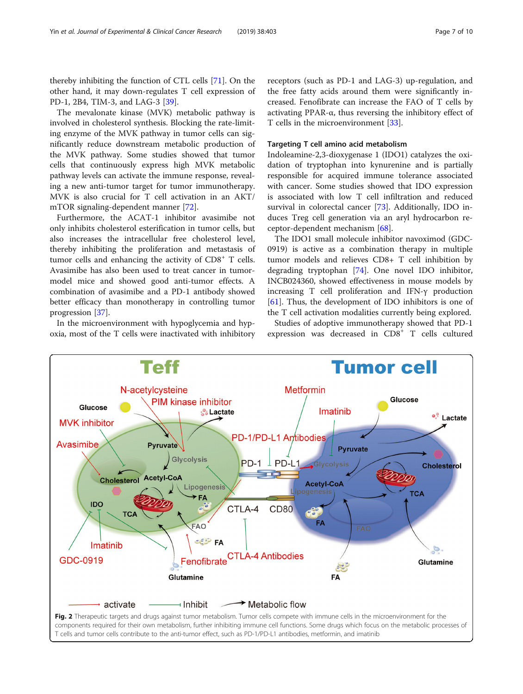<span id="page-6-0"></span>thereby inhibiting the function of CTL cells [\[71\]](#page-9-0). On the other hand, it may down-regulates T cell expression of PD-1, 2B4, TIM-3, and LAG-3 [[39](#page-9-0)].

The mevalonate kinase (MVK) metabolic pathway is involved in cholesterol synthesis. Blocking the rate-limiting enzyme of the MVK pathway in tumor cells can significantly reduce downstream metabolic production of the MVK pathway. Some studies showed that tumor cells that continuously express high MVK metabolic pathway levels can activate the immune response, revealing a new anti-tumor target for tumor immunotherapy. MVK is also crucial for T cell activation in an AKT/ mTOR signaling-dependent manner [\[72\]](#page-9-0).

Furthermore, the ACAT-1 inhibitor avasimibe not only inhibits cholesterol esterification in tumor cells, but also increases the intracellular free cholesterol level, thereby inhibiting the proliferation and metastasis of tumor cells and enhancing the activity of CD8<sup>+</sup> T cells. Avasimibe has also been used to treat cancer in tumormodel mice and showed good anti-tumor effects. A combination of avasimibe and a PD-1 antibody showed better efficacy than monotherapy in controlling tumor progression [\[37](#page-9-0)].

In the microenvironment with hypoglycemia and hypoxia, most of the T cells were inactivated with inhibitory receptors (such as PD-1 and LAG-3) up-regulation, and the free fatty acids around them were significantly increased. Fenofibrate can increase the FAO of T cells by activating PPAR-α, thus reversing the inhibitory effect of T cells in the microenvironment [[33\]](#page-9-0).

### Targeting T cell amino acid metabolism

Indoleamine-2,3-dioxygenase 1 (IDO1) catalyzes the oxidation of tryptophan into kynurenine and is partially responsible for acquired immune tolerance associated with cancer. Some studies showed that IDO expression is associated with low T cell infiltration and reduced survival in colorectal cancer [[73](#page-9-0)]. Additionally, IDO induces Treg cell generation via an aryl hydrocarbon receptor-dependent mechanism [[68\]](#page-9-0).

The IDO1 small molecule inhibitor navoximod (GDC-0919) is active as a combination therapy in multiple tumor models and relieves CD8+ T cell inhibition by degrading tryptophan [[74\]](#page-9-0). One novel IDO inhibitor, INCB024360, showed effectiveness in mouse models by increasing T cell proliferation and IFN-γ production [[61\]](#page-9-0). Thus, the development of IDO inhibitors is one of the T cell activation modalities currently being explored.

Studies of adoptive immunotherapy showed that PD-1 expression was decreased in CD8<sup>+</sup> T cells cultured



T cells and tumor cells contribute to the anti-tumor effect, such as PD-1/PD-L1 antibodies, metformin, and imatinib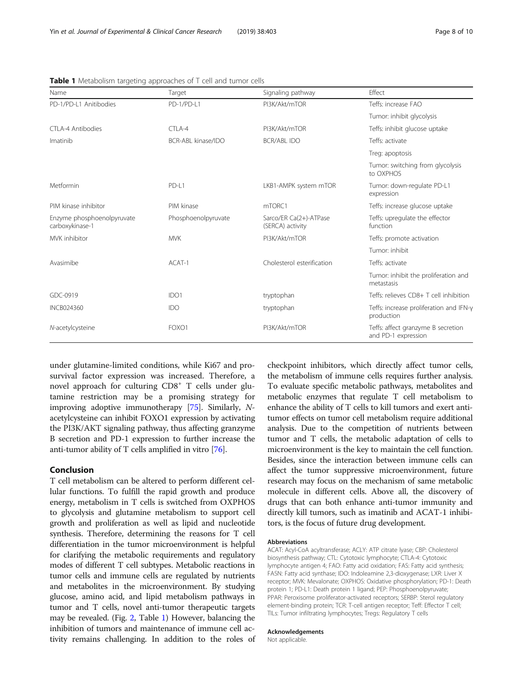| Name                                          | Target              | Signaling pathway                          | Effect                                                    |
|-----------------------------------------------|---------------------|--------------------------------------------|-----------------------------------------------------------|
| PD-1/PD-L1 Anitibodies                        | PD-1/PD-L1          | PI3K/Akt/mTOR                              | Teffs: increase FAO                                       |
|                                               |                     |                                            | Tumor: inhibit glycolysis                                 |
| CTI A-4 Antibodies                            | $CTI$ A-4           | PI3K/Akt/mTOR                              | Teffs: inhibit glucose uptake                             |
| Imatinib                                      | BCR-ABL kinase/IDO  | <b>BCR/ABL IDO</b>                         | Teffs: activate                                           |
|                                               |                     |                                            | Treg: apoptosis                                           |
|                                               |                     |                                            | Tumor: switching from glycolysis<br>to OXPHOS             |
| Metformin                                     | $PD-11$             | LKB1-AMPK system mTOR                      | Tumor: down-regulate PD-L1<br>expression                  |
| PIM kinase inhibitor                          | PIM kinase          | mTORC1                                     | Teffs: increase glucose uptake                            |
| Enzyme phosphoenolpyruvate<br>carboxykinase-1 | Phosphoenolpyruvate | Sarco/ER Ca(2+)-ATPase<br>(SERCA) activity | Teffs: upregulate the effector<br>function                |
| MVK inhibitor                                 | <b>MVK</b>          | PI3K/Akt/mTOR                              | Teffs: promote activation                                 |
|                                               |                     |                                            | Tumor: inhibit                                            |
| Avasimibe                                     | $ACAT-1$            | Cholesterol esterification                 | Teffs: activate                                           |
|                                               |                     |                                            | Tumor: inhibit the proliferation and<br>metastasis        |
| GDC-0919                                      | IDO <sub>1</sub>    | tryptophan                                 | Teffs: relieves CD8+ T cell inhibition                    |
| <b>INCB024360</b>                             | <b>IDO</b>          | tryptophan                                 | Teffs: increase proliferation and IFN-y<br>production     |
| N-acetylcysteine                              | FOXO1               | PI3K/Akt/mTOR                              | Teffs: affect granzyme B secretion<br>and PD-1 expression |

Table 1 Metabolism targeting approaches of T cell and tumor cells

under glutamine-limited conditions, while Ki67 and prosurvival factor expression was increased. Therefore, a novel approach for culturing CD8<sup>+</sup> T cells under glutamine restriction may be a promising strategy for improving adoptive immunotherapy [\[75\]](#page-9-0). Similarly, Nacetylcysteine can inhibit FOXO1 expression by activating the PI3K/AKT signaling pathway, thus affecting granzyme B secretion and PD-1 expression to further increase the anti-tumor ability of T cells amplified in vitro [[76](#page-9-0)].

## Conclusion

T cell metabolism can be altered to perform different cellular functions. To fulfill the rapid growth and produce energy, metabolism in T cells is switched from OXPHOS to glycolysis and glutamine metabolism to support cell growth and proliferation as well as lipid and nucleotide synthesis. Therefore, determining the reasons for T cell differentiation in the tumor microenvironment is helpful for clarifying the metabolic requirements and regulatory modes of different T cell subtypes. Metabolic reactions in tumor cells and immune cells are regulated by nutrients and metabolites in the microenvironment. By studying glucose, amino acid, and lipid metabolism pathways in tumor and T cells, novel anti-tumor therapeutic targets may be revealed. (Fig. [2,](#page-6-0) Table 1) However, balancing the inhibition of tumors and maintenance of immune cell activity remains challenging. In addition to the roles of

checkpoint inhibitors, which directly affect tumor cells, the metabolism of immune cells requires further analysis. To evaluate specific metabolic pathways, metabolites and metabolic enzymes that regulate T cell metabolism to enhance the ability of T cells to kill tumors and exert antitumor effects on tumor cell metabolism require additional analysis. Due to the competition of nutrients between tumor and T cells, the metabolic adaptation of cells to microenvironment is the key to maintain the cell function. Besides, since the interaction between immune cells can affect the tumor suppressive microenvironment, future research may focus on the mechanism of same metabolic molecule in different cells. Above all, the discovery of drugs that can both enhance anti-tumor immunity and directly kill tumors, such as imatinib and ACAT-1 inhibitors, is the focus of future drug development.

#### Abbreviations

ACAT: Acyl-CoA acyltransferase; ACLY: ATP citrate lyase; CBP: Cholesterol biosynthesis pathway; CTL: Cytotoxic lymphocyte; CTLA-4: Cytotoxic lymphocyte antigen 4; FAO: Fatty acid oxidation; FAS: Fatty acid synthesis; FASN: Fatty acid synthase; IDO: Indoleamine 2,3-dioxygenase; LXR: Liver X receptor; MVK: Mevalonate; OXPHOS: Oxidative phosphorylation; PD-1: Death protein 1; PD-L1: Death protein 1 ligand; PEP: Phosphoenolpyruvate; PPAR: Peroxisome proliferator-activated receptors; SERBP: Sterol regulatory element-binding protein; TCR: T-cell antigen receptor; Teff: Effector T cell; TILs: Tumor infiltrating lymphocytes; Tregs: Regulatory T cells

#### Acknowledgements

Not applicable.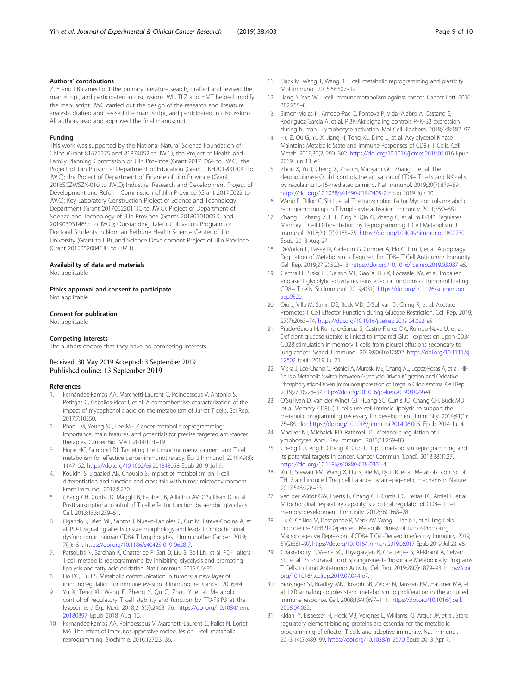#### <span id="page-8-0"></span>Authors' contributions

ZPY and LB carried out the primary literature search, drafted and revised the manuscript, and participated in discussions. WL, TLZ and HMT helped modify the manuscript. JWC carried out the design of the research and literature analysis, drafted and revised the manuscript, and participated in discussions. All authors read and approved the final manuscript.

#### Funding

This work was supported by the National Natural Science Foundation of China (Grant 81672275 and 81874052 to JW.C); the Project of Health and Family Planning Commssion of Jilin Province (Grant 2017 J064 to JW.C); the Project of Jilin Provincial Department of Education (Grant JJKH20190020KJ to JW.C); the Project of Department of Finance of Jilin Province (Grant 2018SCZWSZX-010 to JW.C); Industrial Research and Development Project of Development and Reform Commission of Jilin Province (Grant 2017C022 to JW.C); Key Laboratory Construction Project of Science and Technology Department (Grant 20170622011JC to JW.C); Project of Department of Science and Technology of Jilin Province (Grants 20180101009JC and 20190303146SF to JW.C); Outstanding Talent Cultivation Program for Doctoral Students in Norman Bethune Health Science Center of Jilin University (Grant to L.B), and Science Development Project of Jilin Province (Grant 20150520046JH to HM.T).

#### Availability of data and materials

Not applicable

Ethics approval and consent to participate Not applicable

#### Consent for publication

Not applicable

#### Competing interests

The authors declare that they have no competing interests.

#### Received: 30 May 2019 Accepted: 3 September 2019 Published online: 13 September 2019

#### References

- 1. Fernández-Ramos AA, Marchetti-Laurent C, Poindessous V, Antonio S, Petitgas C, Ceballos-Picot I, et al. A comprehensive characterization of the impact of mycophenolic acid on the metabolism of Jurkat T cells. Sci Rep. 2017;7:10550.
- 2. Phan LM, Yeung SC, Lee MH. Cancer metabolic reprogramming: importance, main features, and potentials for precise targeted anti-cancer therapies. Cancer Biol Med. 2014;11:1–19.
- 3. Hope HC, Salmond RJ. Targeting the tumor microenvironment and T cell metabolism for effective cancer immunotherapy. Eur J Immunol. 2019;49(8): 1147–52. <https://doi.org/10.1002/eji.201848058> Epub 2019 Jul 9.
- 4. Kouidhi S, Elgaaied AB, Chouaib S. Impact of metabolism on T-cell differentiation and function and cross talk with tumor microenvironment. Front Immunol. 2017;8:270.
- 5. Chang CH, Curtis JD, Maggi LB, Faubert B, Aillarino AV, O'Sullivan D, et al. Posttranscriptional control of T cell effector function by aerobic glycolysis. Cell. 2013;153:1239–51.
- 6. Ogando J, Sáez ME, Santos J, Nuevo-Tapioles C, Gut M, Esteve-Codina A, et al. PD-1 signaling affects cristae morphology and leads to mitochondrial dysfunction in human CD8+ T lymphocytes. J Immunother Cancer. 2019; 7(1):151. <https://doi.org/10.1186/s40425-019-0628-7>.
- 7. Patsoukis N, Bardhan K, Chatterjee P, Sari D, Liu B, Bell LN, et al. PD-1 alters T-cell metabolic reprogramming by inhibiting glycolysis and promoting lipolysis and fatty acid oxidation. Nat Commun. 2015;6:6692.
- 8. Ho PC, Liu PS. Metabolic communication in tumors: a new layer of immunoregulation for immune evasion. J Immunother Cancer. 2016;4:4.
- 9. Yu X, Teng XL, Wang F, Zheng Y, Qu G, Zhou Y, et al. Metabolic control of regulatory T cell stability and function by TRAF3IP3 at the lysosome. J Exp Med. 2018;215(9):2463–76. [https://doi.org/10.1084/jem.](https://doi.org/10.1084/jem.20180397) [20180397](https://doi.org/10.1084/jem.20180397) Epub 2018 Aug 16.
- 10. Fernandez-Ramos AA, Poindessous V, Marchetti-Laurent C, Pallet N, Loriot MA. The effect of immunosuppressive molecules on T-cell metabolic reprogramming. Biochimie. 2016;127:23–36.
- 11. Slack M, Wang T, Wang R. T cell metabolic reprogramming and plasticity. Mol Immunol. 2015;68:507–12.
- 12. Jiang S, Yan W. T-cell immunometabolism against cancer. Cancer Lett. 2016; 382:255–8.
- 13. Simon-Molas H, Arnedo-Pac C, Fontova P, Vidal-Alabro A, Castano E, Rodriguez-Garcia A, et al. PI3K-Akt signaling controls PFKFB3 expression during human T-lymphocyte activation. Mol Cell Biochem. 2018;448:187–97.
- 14. Hu Z, Qu G, Yu X, Jiang H, Teng XL, Ding L, et al. Acylglycerol Kinase Maintains Metabolic State and Immune Responses of CD8+ T Cells. Cell Metab. 2019;30(2):290–302. <https://doi.org/10.1016/j.cmet.2019.05.016> Epub 2019 Jun 13. e5.
- 15. Zhou X, Yu J, Cheng X, Zhao B, Manyam GC, Zhang L, et al. The deubiquitinase Otub1 controls the activation of CD8+ T cells and NK cells by regulating IL-15-mediated priming. Nat Immunol. 2019;20(7):879–89. <https://doi.org/10.1038/s41590-019-0405-2> Epub 2019 Jun 10.
- 16. Wang R, Dillon C, Shi L, et al. The transcription factor Myc controls metabolic reprogramming upon T lymphocyte activation. Immunity. 2011;35:0–882.
- 17. Zhang T, Zhang Z, Li F, Ping Y, Qin G, Zhang C, et al. miR-143 Regulates Memory T Cell Differentiation by Reprogramming T Cell Metabolism. J Immunol. 2018;201(7):2165–75. <https://doi.org/10.4049/jimmunol.1800230> Epub 2018 Aug 27.
- 18. DeVorkin L, Pavey N, Carleton G, Comber A, Ho C, Lim J, et al. Autophagy Regulation of Metabolism Is Required for CD8+ T Cell Anti-tumor Immunity. Cell Rep. 2019;27(2):502–13. <https://doi.org/10.1016/j.celrep.2019.03.037> e5.
- 19. Gemta LF, Siska PJ, Nelson ME, Gao X, Liu X, Locasale JW, et al. Impaired enolase 1 glycolytic activity restrains effector functions of tumor-infiltrating CD8+ T cells. Sci Immunol. 2019;4(31). [https://doi.org/10.1126/sciimmunol.](https://doi.org/10.1126/sciimmunol.aap9520) [aap9520.](https://doi.org/10.1126/sciimmunol.aap9520)
- 20. Qiu J, Villa M, Sanin DE, Buck MD, O'Sullivan D, Ching R, et al. Acetate Promotes T Cell Effector Function during Glucose Restriction. Cell Rep. 2019; 27(7):2063–74. <https://doi.org/10.1016/j.celrep.2019.04.022> e5.
- 21. Prado-Garcia H, Romero-Garcia S, Castro-Flores DA, Rumbo-Nava U, et al. Deficient glucose uptake is linked to impaired Glut1 expression upon CD3/ CD28 stimulation in memory T cells from pleural effusions secondary to lung cancer. Scand J Immunol. 2019;90(3):e12802. [https://doi.org/10.1111/sji.](https://doi.org/10.1111/sji.12802) [12802](https://doi.org/10.1111/sji.12802) Epub 2019 Jul 21.
- 22. Miska J, Lee-Chang C, Rashidi A, Muroski ME, Chang AL, Lopez-Rosas A, et al. HIF-1α Is a Metabolic Switch between Glycolytic-Driven Migration and Oxidative Phosphorylation-Driven Immunosuppression of Tregs in Glioblastoma. Cell Rep. 2019;27(1):226–37. <https://doi.org/10.1016/j.celrep.2019.03.029> e4.
- 23. O'Sullivan D, van der Windt GJ, Huang SC, Curtis JD, Chang CH, Buck MD, ,et al Memory CD8(+) T cells use cell-intrinsic lipolysis to support the metabolic programming necessary for development. Immunity. 2014;41(1): 75–88. doi: [https://doi.org/10.1016/j.immuni.2014.06.005.](https://doi.org/10.1016/j.immuni.2014.06.005) Epub 2014 Jul 4.
- 24. Maciver NJ, Michalek RD, Rathmell JC. Metabolic regulation of T ymphocytes. Annu Rev Immunol. 2013;31:259–83.
- 25. Cheng C, Geng F, Cheng X, Guo D. Lipid metabolism reprogramming and its potential targets in cancer. Cancer Commun (Lond). 2018;38(1):27. <https://doi.org/10.1186/s40880-018-0301-4>.
- 26. Xu T, Stewart KM, Wang X, Liu K, Xie M, Ryu JK, et al. Metabolic control of TH17 and induced Treg cell balance by an epigenetic mechanism. Nature. 2017;548:228–33.
- 27. van der Windt GW, Everts B, Chang CH, Curtis JD, Freitas TC, Amiel E, et al. Mitochondrial respiratory capacity is a critical regulator of CD8+ T cell memory development. Immunity. 2012;36(1):68–78.
- 28. Liu C, Chikina M, Deshpande R, Menk AV, Wang T, Tabib T, et al. Treg Cells Promote the SREBP1-Dependent Metabolic Fitness of Tumor-Promoting Macrophages via Repression of CD8+ T Cell-Derived Interferon-γ. Immunity. 2019; 51(2):381–97. <https://doi.org/10.1016/j.immuni.2019.06.017> Epub 2019 Jul 23. e6.
- 29. Chakraborty P, Vaena SG, Thyagarajan K, Chatterjee S, Al-Khami A, Selvam SP, et al. Pro-Survival Lipid Sphingosine-1-Phosphate Metabolically Programs T Cells to Limit Anti-tumor Activity. Cell Rep. 2019;28(7):1879–93. [https://doi.](https://doi.org/10.1016/j.celrep.2019.07.044) [org/10.1016/j.celrep.2019.07.044](https://doi.org/10.1016/j.celrep.2019.07.044) e7.
- 30. Bensinger SJ, Bradley MN, Joseph SB, Zelcer N, Janssen EM, Hausner MA, et al. LXR signaling couples sterol metabolism to proliferation in the acquired immune response. Cell. 2008;134(1):97–111. [https://doi.org/10.1016/j.cell.](https://doi.org/10.1016/j.cell.2008.04.052) [2008.04.052.](https://doi.org/10.1016/j.cell.2008.04.052)
- 31. Kidani Y, Elsaesser H, Hock MB, Vergnes L, Williams KJ, Argus JP, et al. Sterol regulatory element-binding proteins are essential for the metabolic programming of effector T cells and adaptive immunity. Nat Immunol. 2013;14(5):489–99. <https://doi.org/10.1038/ni.2570> Epub 2013 Apr 7.